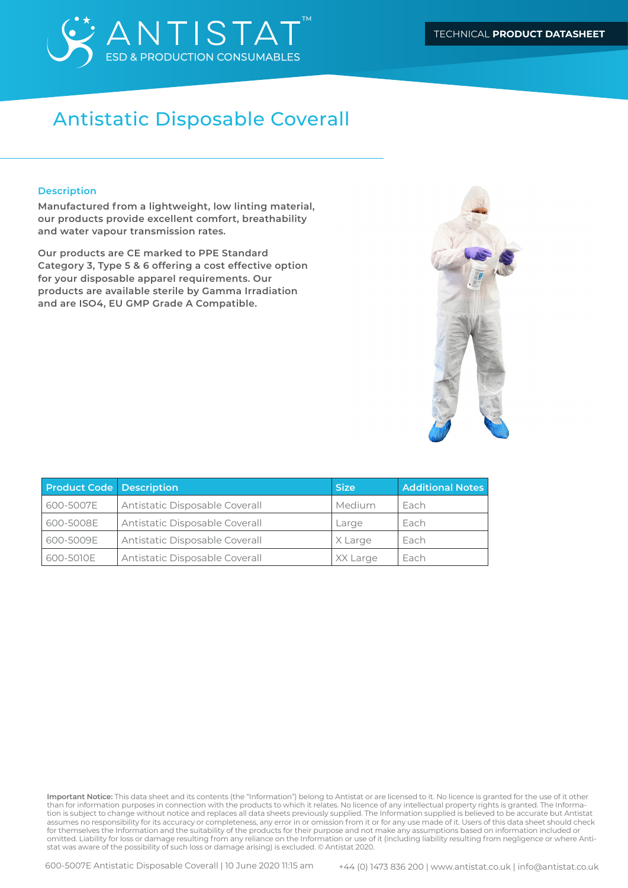

#### **Description**

**Manufactured from a lightweight, low linting material, our products provide excellent comfort, breathability and water vapour transmission rates.** 

**Our products are CE marked to PPE Standard Category 3, Type 5 & 6 offering a cost effective option for your disposable apparel requirements. Our products are available sterile by Gamma Irradiation and are ISO4, EU GMP Grade A Compatible.**



| <b>Product Code Description</b> |                                | <b>Size</b>   | <b>Additional Notes</b> |
|---------------------------------|--------------------------------|---------------|-------------------------|
| 600-5007E                       | Antistatic Disposable Coverall | <b>Medium</b> | Each                    |
| 600-5008E                       | Antistatic Disposable Coverall | Large         | Each                    |
| 600-5009E                       | Antistatic Disposable Coverall | X Large       | Each                    |
| 600-5010E                       | Antistatic Disposable Coverall | XX Large      | ' Each                  |

**Important Notice:** This data sheet and its contents (the "Information") belong to Antistat or are licensed to it. No licence is granted for the use of it other than for information purposes in connection with the products to which it relates. No licence of any intellectual property rights is granted. The Information is subject to change without notice and replaces all data sheets previously supplied. The Information supplied is believed to be accurate but Antistat assumes no responsibility for its accuracy or completeness, any error in or omission from it or for any use made of it. Users of this data sheet should check for themselves the Information and the suitability of the products for their purpose and not make any assumptions based on information included or omitted. Liability for loss or damage resulting from any reliance on the Information or use of it (including liability resulting from negligence or where Antistat was aware of the possibility of such loss or damage arising) is excluded. © Antistat 2020.

600-5007E Antistatic Disposable Coverall | 10 June 2020 11:15 am +44 (0) 1473 836 200 | www.antistat.co.uk | info@antistat.co.uk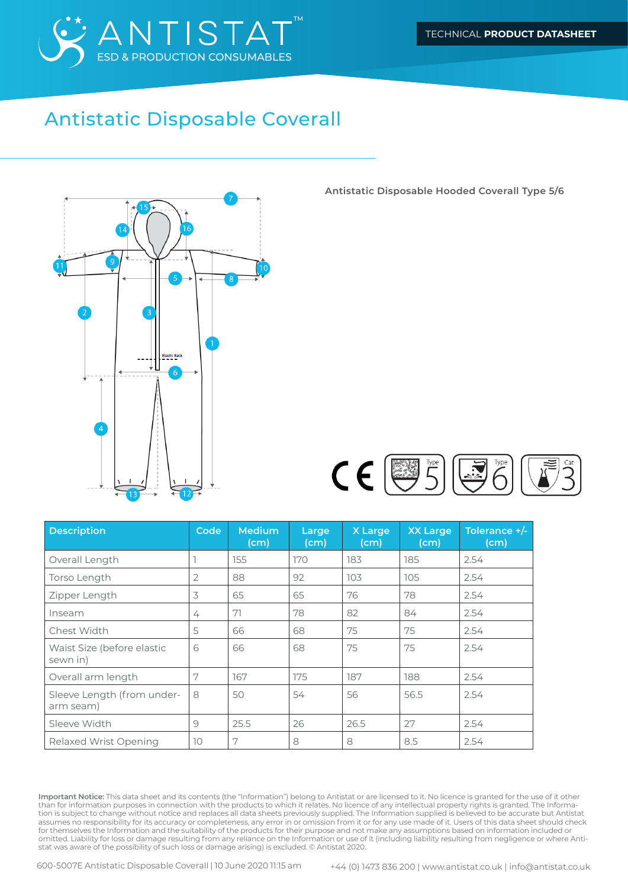



**Antistatic Disposable Hooded Coverall Type 5/6**



| <b>Description</b>                      | Code            | <b>Medium</b><br>(cm) | Large<br>(cm) | X Large<br>(cm) | <b>XX Large</b><br>(cm) | Tolerance $+/-$<br>(cm) |
|-----------------------------------------|-----------------|-----------------------|---------------|-----------------|-------------------------|-------------------------|
| Overall Length                          |                 | 155                   | 170           | 183             | 185                     | 2.54                    |
| Torso Length                            | $\overline{2}$  | 88                    | 92            | 103             | 105                     | 2.54                    |
| Zipper Length                           | 3               | 65                    | 65            | 76              | 78                      | 2.54                    |
| Inseam                                  | 4               | 71                    | 78            | 82              | 84                      | 2.54                    |
| Chest Width                             | 5               | 66                    | 68            | 75              | 75                      | 2.54                    |
| Waist Size (before elastic<br>sewn in)  | 6               | 66                    | 68            | 75              | 75                      | 2.54                    |
| Overall arm length                      | 7               | 167                   | 175           | 187             | 188                     | 2.54                    |
| Sleeve Length (from under-<br>arm seam) | 8               | 50                    | 54            | 56              | 56.5                    | 2.54                    |
| Sleeve Width                            | 9               | 25.5                  | 26            | 26.5            | 27                      | 2.54                    |
| Relaxed Wrist Opening                   | 10 <sup>°</sup> | 7                     | 8             | 8               | 8.5                     | 2.54                    |

**Important Notice:** This data sheet and its contents (the "Information") belong to Antistat or are licensed to it. No licence is granted for the use of it other than for information purposes in connection with the products to which it relates. No licence of any intellectual property rights is granted. The Information is subject to change without notice and replaces all data sheets previously supplied. The Information supplied is believed to be accurate but Antistat assumes no responsibility for its accuracy or completeness, any error in or omission from it or for any use made of it. Users of this data sheet should check for themselves the Information and the suitability of the products for their purpose and not make any assumptions based on information included or omitted. Liability for loss or damage resulting from any reliance on the Information or use of it (including liability resulting from negligence or where Antistat was aware of the possibility of such loss or damage arising) is excluded. © Antistat 2020.

600-5007E Antistatic Disposable Coverall | 10 June 2020 11:15 am +44 (0) 1473 836 200 | www.antistat.co.uk | info@antistat.co.uk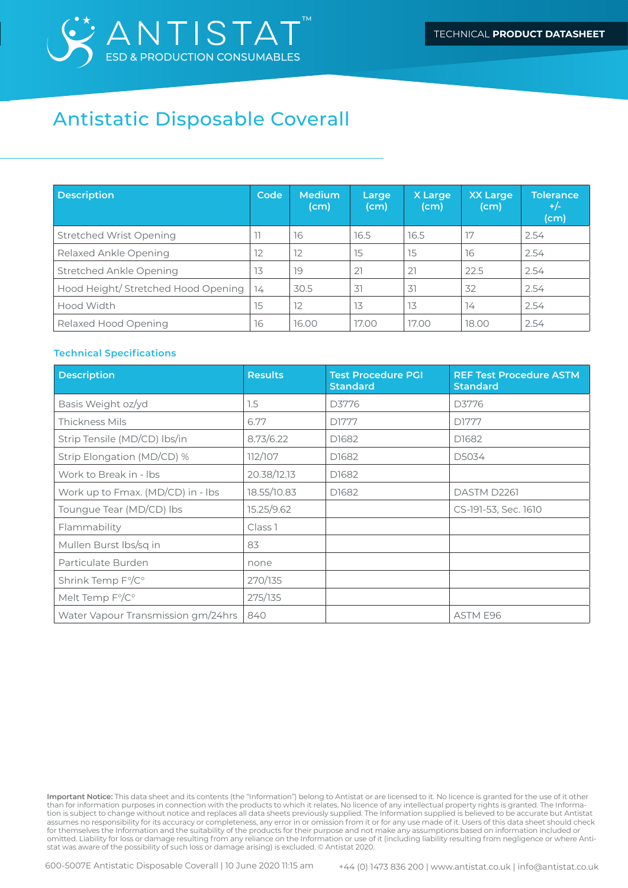

| <b>Description</b>                  | Code | <b>Medium</b><br>(cm) | Large<br>(cm) | X Large<br>(cm) | <b>XX Large</b><br>(cm) | <b>Tolerance</b><br>$+/-$<br>(cm) |
|-------------------------------------|------|-----------------------|---------------|-----------------|-------------------------|-----------------------------------|
| Stretched Wrist Opening             | 11   | 16                    | 16.5          | 16.5            | 17                      | 2.54                              |
| Relaxed Ankle Opening               | 12   | 12                    | 15            | 15              | 16                      | 2.54                              |
| Stretched Ankle Opening             | 13   | 19                    | 21            | 21              | 22.5                    | 2.54                              |
| Hood Height/ Stretched Hood Opening | 74   | 30.5                  | 31            | 31              | 32                      | 2.54                              |
| Hood Width                          | 15   | 12                    | 13            | 13              | 14                      | 2.54                              |
| Relaxed Hood Opening                | 16   | 16.00                 | 17.00         | 17.00           | 18.00                   | 2.54                              |

#### **Technical Specifications**

| <b>Description</b>                 | <b>Results</b>     | <b>Test Procedure PGI</b><br><b>Standard</b> | <b>REF Test Procedure ASTM</b><br><b>Standard</b> |
|------------------------------------|--------------------|----------------------------------------------|---------------------------------------------------|
| Basis Weight oz/yd                 | 1.5                | D3776                                        | D3776                                             |
| Thickness Mils                     | 6.77               | D1777                                        | D1777                                             |
| Strip Tensile (MD/CD) lbs/in       | 8.73/6.22          | D1682                                        | D1682                                             |
| Strip Elongation (MD/CD) %         | 112/107            | D1682                                        | D5034                                             |
| Work to Break in - Ibs             | 20.38/12.13        | D1682                                        |                                                   |
| Work up to Fmax. (MD/CD) in - lbs  | 18.55/10.83        | D1682                                        | DASTM D2261                                       |
| Toungue Tear (MD/CD) Ibs           | 15.25/9.62         |                                              | CS-191-53, Sec. 1610                              |
| Flammability                       | Class <sub>1</sub> |                                              |                                                   |
| Mullen Burst Ibs/sq in             | 83                 |                                              |                                                   |
| Particulate Burden                 | none               |                                              |                                                   |
| Shrink Temp F°/C°                  | 270/135            |                                              |                                                   |
| Melt Temp F°/C°                    | 275/135            |                                              |                                                   |
| Water Vapour Transmission gm/24hrs | 840                |                                              | <b>ASTM E96</b>                                   |

**Important Notice:** This data sheet and its contents (the "Information") belong to Antistat or are licensed to it. No licence is granted for the use of it other than for information purposes in connection with the products to which it relates. No licence of any intellectual property rights is granted. The Information is subject to change without notice and replaces all data sheets previously supplied. The Information supplied is believed to be accurate but Antistat assumes no responsibility for its accuracy or completeness, any error in or omission from it or for any use made of it. Users of this data sheet should check for themselves the Information and the suitability of the products for their purpose and not make any assumptions based on information included or omitted. Liability for loss or damage resulting from any reliance on the Information or use of it (including liability resulting from negligence or where Antistat was aware of the possibility of such loss or damage arising) is excluded. © Antistat 2020.

600-5007E Antistatic Disposable Coverall | 10 June 2020 11:15 am +44 (0) 1473 836 200 | www.antistat.co.uk | info@antistat.co.uk